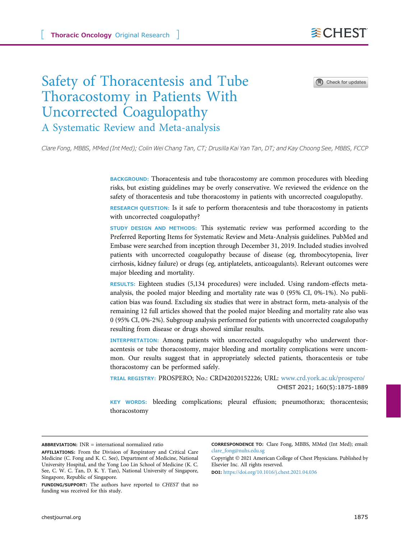

# Safety of Thoracentesis and Tube Thoracostomy in Patients With Uncorrected Coagulopathy

A Systematic Review and Meta-analysis

Clare Fong, MBBS, MMed (Int Med); Colin Wei Chang Tan, CT; Drusilla Kai Yan Tan, DT; and Kay Choong See, MBBS, FCCP

BACKGROUND: Thoracentesis and tube thoracostomy are common procedures with bleeding risks, but existing guidelines may be overly conservative. We reviewed the evidence on the safety of thoracentesis and tube thoracostomy in patients with uncorrected coagulopathy.

RESEARCH QUESTION: Is it safe to perform thoracentesis and tube thoracostomy in patients with uncorrected coagulopathy?

STUDY DESIGN AND METHODS: This systematic review was performed according to the Preferred Reporting Items for Systematic Review and Meta-Analysis guidelines. PubMed and Embase were searched from inception through December 31, 2019. Included studies involved patients with uncorrected coagulopathy because of disease (eg, thrombocytopenia, liver cirrhosis, kidney failure) or drugs (eg, antiplatelets, anticoagulants). Relevant outcomes were major bleeding and mortality.

RESULTS: Eighteen studies (5,134 procedures) were included. Using random-effects metaanalysis, the pooled major bleeding and mortality rate was 0 (95% CI, 0%-1%). No publication bias was found. Excluding six studies that were in abstract form, meta-analysis of the remaining 12 full articles showed that the pooled major bleeding and mortality rate also was 0 (95% CI, 0%-2%). Subgroup analysis performed for patients with uncorrected coagulopathy resulting from disease or drugs showed similar results.

INTERPRETATION: Among patients with uncorrected coagulopathy who underwent thoracentesis or tube thoracostomy, major bleeding and mortality complications were uncommon. Our results suggest that in appropriately selected patients, thoracentesis or tube thoracostomy can be performed safely.

TRIAL REGISTRY: PROSPERO; No.: CRD42020152226; URL: [www.crd.york.ac.uk/prospero/](http://www.crd.york.ac.uk/prospero/) CHEST 2021; 160(5):1875-1889

KEY WORDS: bleeding complications; pleural effusion; pneumothorax; thoracentesis; thoracostomy

ABBREVIATION: INR = international normalized ratio

CORRESPONDENCE TO: Clare Fong, MBBS, MMed (Int Med); email: [clare\\_fong@nuhs.edu.sg](mailto:clare_fong@nuhs.edu.sg)

DOI: <https://doi.org/10.1016/j.chest.2021.04.036>

AFFILIATIONS: From the Division of Respiratory and Critical Care Medicine (C. Fong and K. C. See), Department of Medicine, National University Hospital, and the Yong Loo Lin School of Medicine (K. C. See, C. W. C. Tan, D. K. Y. Tan), National University of Singapore, Singapore, Republic of Singapore.

FUNDING/SUPPORT: The authors have reported to CHEST that no funding was received for this study.

Copyright © 2021 American College of Chest Physicians. Published by Elsevier Inc. All rights reserved.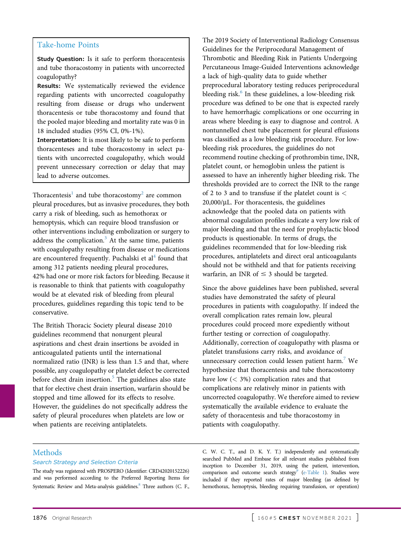# Take-home Points

Study Question: Is it safe to perform thoracentesis and tube thoracostomy in patients with uncorrected coagulopathy?

Results: We systematically reviewed the evidence regarding patients with uncorrected coagulopathy resulting from disease or drugs who underwent thoracentesis or tube thoracostomy and found that the pooled major bleeding and mortality rate was 0 in 18 included studies (95% CI, 0%-1%).

Interpretation: It is most likely to be safe to perform thoracenteses and tube thoracostomy in select patients with uncorrected coagulopathy, which would prevent unnecessary correction or delay that may lead to adverse outcomes.

Thoracentesis<sup>[1](#page-13-0)</sup> and tube thoracostomy<sup>[2](#page-13-1)</sup> are common pleural procedures, but as invasive procedures, they both carry a risk of bleeding, such as hemothorax or hemoptysis, which can require blood transfusion or other interventions including embolization or surgery to address the complication. $3$  At the same time, patients with coagulopathy resulting from disease or medications are encountered frequently. Puchalski et  $al<sup>4</sup>$  $al<sup>4</sup>$  $al<sup>4</sup>$  found that among 312 patients needing pleural procedures, 42% had one or more risk factors for bleeding. Because it is reasonable to think that patients with coagulopathy would be at elevated risk of bleeding from pleural procedures, guidelines regarding this topic tend to be conservative.

The British Thoracic Society pleural disease 2010 guidelines recommend that nonurgent pleural aspirations and chest drain insertions be avoided in anticoagulated patients until the international normalized ratio (INR) is less than 1.5 and that, where possible, any coagulopathy or platelet defect be corrected before chest drain insertion. $5$  The guidelines also state that for elective chest drain insertion, warfarin should be stopped and time allowed for its effects to resolve. However, the guidelines do not specifically address the safety of pleural procedures when platelets are low or when patients are receiving antiplatelets.

The 2019 Society of Interventional Radiology Consensus Guidelines for the Periprocedural Management of Thrombotic and Bleeding Risk in Patients Undergoing Percutaneous Image-Guided Interventions acknowledge a lack of high-quality data to guide whether preprocedural laboratory testing reduces periprocedural bleeding risk. $6$  In these guidelines, a low-bleeding risk procedure was defined to be one that is expected rarely to have hemorrhagic complications or one occurring in areas where bleeding is easy to diagnose and control. A nontunnelled chest tube placement for pleural effusions was classified as a low bleeding risk procedure. For lowbleeding risk procedures, the guidelines do not recommend routine checking of prothrombin time, INR, platelet count, or hemoglobin unless the patient is assessed to have an inherently higher bleeding risk. The thresholds provided are to correct the INR to the range of 2 to 3 and to transfuse if the platelet count is  $\lt$  $20,000/\mu L$ . For thoracentesis, the guidelines acknowledge that the pooled data on patients with abnormal coagulation profiles indicate a very low risk of major bleeding and that the need for prophylactic blood products is questionable. In terms of drugs, the guidelines recommended that for low-bleeding risk procedures, antiplatelets and direct oral anticoagulants should not be withheld and that for patients receiving warfarin, an INR of  $\leq$  3 should be targeted.

Since the above guidelines have been published, several studies have demonstrated the safety of pleural procedures in patients with coagulopathy. If indeed the overall complication rates remain low, pleural procedures could proceed more expediently without further testing or correction of coagulopathy. Additionally, correction of coagulopathy with plasma or platelet transfusions carry risks, and avoidance of unnecessary correction could lessen patient harm.<sup>[7](#page-13-6)</sup> We hypothesize that thoracentesis and tube thoracostomy have low (< 3%) complication rates and that complications are relatively minor in patients with uncorrected coagulopathy. We therefore aimed to review systematically the available evidence to evaluate the safety of thoracentesis and tube thoracostomy in patients with coagulopathy.

# Methods

#### Search Strategy and Selection Criteria

The study was registered with PROSPERO (Identifier: CRD42020152226) and was performed according to the Preferred Reporting Items for Systematic Review and Meta-analysis guidelines.<sup>8</sup> Three authors (C. F., C. W. C. T., and D. K. Y. T.) independently and systematically searched PubMed and Embase for all relevant studies published from inception to December 31, 2019, using the patient, intervention, comparison and outcome search strategy<sup>9</sup> [\(e-Table 1\)](#page-14-0). Studies were included if they reported rates of major bleeding (as defined by hemothorax, hemoptysis, bleeding requiring transfusion, or operation)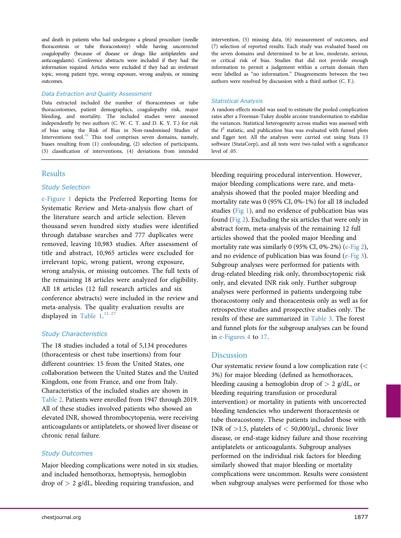and death in patients who had undergone a pleural procedure (needle thoracentesis or tube thoracostomy) while having uncorrected coagulopathy (because of disease or drugs like antiplatelets and anticoagulants). Conference abstracts were included if they had the information required. Articles were excluded if they had an irrelevant topic, wrong patient type, wrong exposure, wrong analysis, or missing outcomes.

#### Data Extraction and Quality Assessment

Data extracted included the number of thoracenteses or tube thoracostomies, patient demographics, coagulopathy risk, major bleeding, and mortality. The included studies were assessed independently by two authors (C. W. C. T. and D. K. Y. T.) for risk of bias using the Risk of Bias in Non-randomised Studies of Interventions tool.<sup>10</sup> This tool comprises seven domains, namely, biases resulting from (1) confounding, (2) selection of participants, (3) classification of interventions, (4) deviations from intended

# Results

# Study Selection

[e-Figure 1](#page-14-0) depicts the Preferred Reporting Items for Systematic Review and Meta-analysis flow chart of the literature search and article selection. Eleven thousand seven hundred sixty studies were identified through database searches and 777 duplicates were removed, leaving 10,983 studies. After assessment of title and abstract, 10,965 articles were excluded for irrelevant topic, wrong patient, wrong exposure, wrong analysis, or missing outcomes. The full texts of the remaining 18 articles were analyzed for eligibility. All 18 articles (12 full research articles and six conference abstracts) were included in the review and meta-analysis. The quality evaluation results are displayed in [Table 1](#page-3-0).<sup>[11-27](#page-13-10)</sup>

# Study Characteristics

The 18 studies included a total of 5,134 procedures (thoracentesis or chest tube insertions) from four different countries: 15 from the United States, one collaboration between the United States and the United Kingdom, one from France, and one from Italy. Characteristics of the included studies are shown in [Table 2](#page-5-0). Patients were enrolled from 1947 through 2019. All of these studies involved patients who showed an elevated INR, showed thrombocytopenia, were receiving anticoagulants or antiplatelets, or showed liver disease or chronic renal failure.

# Study Outcomes

Major bleeding complications were noted in six studies, and included hemothorax, hemoptysis, hemoglobin drop of  $> 2$  g/dL, bleeding requiring transfusion, and

intervention, (5) missing data, (6) measurement of outcomes, and (7) selection of reported results. Each study was evaluated based on the seven domains and determined to be at low, moderate, serious, or critical risk of bias. Studies that did not provide enough information to permit a judgement within a certain domain then were labelled as "no information." Disagreements between the two authors were resolved by discussion with a third author (C. F.).

#### Statistical Analysis

A random-effects model was used to estimate the pooled complication rates after a Freeman-Tukey double arcsine transformation to stabilize the variances. Statistical heterogeneity across studies was assessed with the  $I^2$  statistic, and publication bias was evaluated with funnel plots and Egger test. All the analyses were carried out using Stata 13 software (StataCorp), and all tests were two-tailed with a significance level of .05.

bleeding requiring procedural intervention. However, major bleeding complications were rare, and metaanalysis showed that the pooled major bleeding and mortality rate was 0 (95% CI, 0%-1%) for all 18 included studies ([Fig 1](#page-11-0)), and no evidence of publication bias was found [\(Fig 2\)](#page-12-0). Excluding the six articles that were only in abstract form, meta-analysis of the remaining 12 full articles showed that the pooled major bleeding and mortality rate was similarly 0 (95% CI, 0%-2%) [\(e-Fig 2](#page-14-0)), and no evidence of publication bias was found ([e-Fig 3](#page-14-0)). Subgroup analyses were performed for patients with drug-related bleeding risk only, thrombocytopenic risk only, and elevated INR risk only. Further subgroup analyses were performed in patients undergoing tube thoracostomy only and thoracentesis only as well as for retrospective studies and prospective studies only. The results of these are summarized in [Table 3](#page-12-1). The forest and funnel plots for the subgroup analyses can be found in [e-Figures 4](#page-14-0) to [17](#page-14-0).

# Discussion

Our systematic review found a low complication rate (< 3%) for major bleeding (defined as hemothoraces, bleeding causing a hemoglobin drop of  $> 2$  g/dL, or bleeding requiring transfusion or procedural intervention) or mortality in patients with uncorrected bleeding tendencies who underwent thoracentesis or tube thoracostomy. These patients included those with INR of  $>$  1.5, platelets of  $<$  50,000/ $\mu$ L, chronic liver disease, or end-stage kidney failure and those receiving antiplatelets or anticoagulants. Subgroup analyses performed on the individual risk factors for bleeding similarly showed that major bleeding or mortality complications were uncommon. Results were consistent when subgroup analyses were performed for those who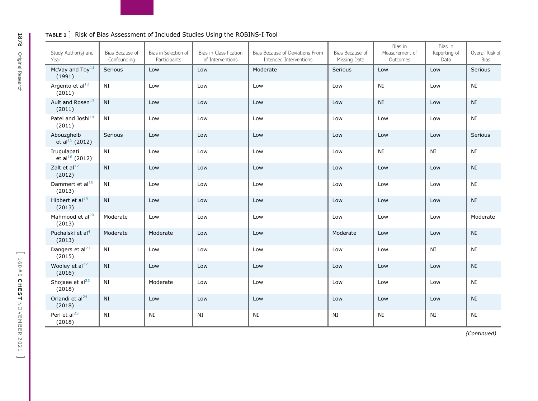# TABLE 1 ] Risk of Bias Assessment of Included Studies Using the ROBINS-I Tool

| Study Author(s) and<br>Year               | Bias Because of<br>Confounding | Bias in Selection of<br>Participants | Bias in Classification<br>of Interventions | Bias Because of Deviations From<br>Intended Interventions | Bias Because of<br>Missing Data | Bias in<br>Measurement of<br>Outcomes | Bias in<br>Reporting of<br>Data | Overall Risk of<br><b>Bias</b> |
|-------------------------------------------|--------------------------------|--------------------------------------|--------------------------------------------|-----------------------------------------------------------|---------------------------------|---------------------------------------|---------------------------------|--------------------------------|
| McVay and $\text{Top}^{11}$<br>(1991)     | Serious                        | Low                                  | Low                                        | Moderate                                                  | Serious                         | Low                                   | Low                             | Serious                        |
| Argento et al <sup>12</sup><br>(2011)     | NI                             | Low                                  | Low                                        | Low                                                       | Low                             | NI                                    | Low                             | NI                             |
| Ault and Rosen <sup>13</sup><br>(2011)    | NI                             | Low                                  | Low                                        | Low                                                       | Low                             | NI                                    | Low                             | NI                             |
| Patel and Joshi <sup>14</sup><br>(2011)   | $\rm NI$                       | Low                                  | Low                                        | Low                                                       | Low                             | Low                                   | Low                             | NI                             |
| Abouzgheib<br>et al <sup>15</sup> (2012)  | Serious                        | Low                                  | Low                                        | Low                                                       | Low                             | Low                                   | Low                             | Serious                        |
| Irugulapati<br>et al <sup>16</sup> (2012) | NI                             | Low                                  | Low                                        | Low                                                       | Low                             | NI                                    | NI                              | NI                             |
| Zalt et al <sup>17</sup><br>(2012)        | NI                             | Low                                  | Low                                        | Low                                                       | Low                             | Low                                   | Low                             | NI                             |
| Dammert et al <sup>18</sup><br>(2013)     | NI                             | Low                                  | Low                                        | Low                                                       | Low                             | Low                                   | Low                             | NI                             |
| Hibbert et al <sup>19</sup><br>(2013)     | NI                             | Low                                  | Low                                        | Low                                                       | Low                             | Low                                   | Low                             | NI                             |
| Mahmood et al <sup>20</sup><br>(2013)     | Moderate                       | Low                                  | Low                                        | Low                                                       | Low                             | Low                                   | Low                             | Moderate                       |
| Puchalski et al <sup>4</sup><br>(2013)    | Moderate                       | Moderate                             | Low                                        | Low                                                       | Moderate                        | Low                                   | Low                             | NI                             |
| Dangers et al <sup>21</sup><br>(2015)     | NI                             | Low                                  | Low                                        | Low                                                       | Low                             | Low                                   | NI                              | NI                             |
| Wooley et al <sup>22</sup><br>(2016)      | NI                             | Low                                  | Low                                        | Low                                                       | Low                             | Low                                   | Low                             | NI                             |
| Shojaee et al $^{23}$<br>(2018)           | NI                             | Moderate                             | Low                                        | Low                                                       | Low                             | Low                                   | Low                             | NI                             |
| Orlandi et al <sup>24</sup><br>(2018)     | <b>NI</b>                      | Low                                  | Low                                        | Low                                                       | Low                             | Low                                   | Low                             | NI                             |
| Perl et al <sup>25</sup><br>(2018)        | NI                             | NI                                   | NI                                         | NI                                                        | NI                              | NI                                    | NI                              | NI                             |

<span id="page-3-0"></span>1878 Original Research Original Research

(Continued)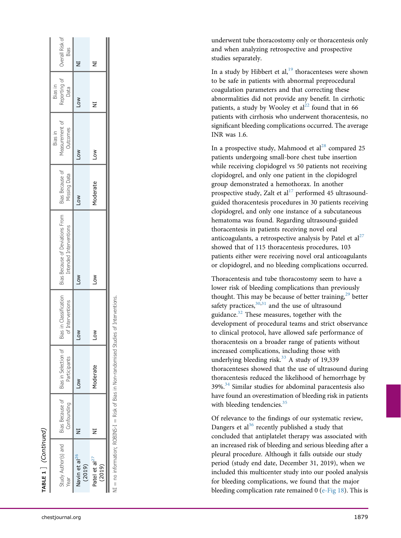TABLE 1  $\texttt{TABLE 1}$  (Continued) (Continued)

| Bias Because of<br>Missing Data<br>$\sum_{i=1}^{n}$<br>Bias Because of Deviations From<br>Intended Interventions<br>No7<br>Bias in Classification<br>of Interventions<br>≥<br>S<br>Bias in Selection of<br>Participants<br><b>NOT</b><br>Bias Because of<br>Confounding<br>Study Author(s) and  <br>Vavin et al <sup>26</sup><br>(2019)<br>Year |                           |          |               |            |          |                                       |                                 |                         |
|-------------------------------------------------------------------------------------------------------------------------------------------------------------------------------------------------------------------------------------------------------------------------------------------------------------------------------------------------|---------------------------|----------|---------------|------------|----------|---------------------------------------|---------------------------------|-------------------------|
|                                                                                                                                                                                                                                                                                                                                                 |                           |          |               |            |          | Measurement of<br>Outcomes<br>Bias in | Reporting of<br>Bias in<br>Data | Overall Risk of<br>Bias |
|                                                                                                                                                                                                                                                                                                                                                 |                           |          |               |            |          | No7                                   | No7                             | Ξ                       |
| (2019)                                                                                                                                                                                                                                                                                                                                          | Patel et al <sup>27</sup> | Moderate | $\frac{8}{3}$ | <b>NOT</b> | Moderate | <b>NOT</b>                            | Ξ                               | Ξ                       |

no information; ROBINS-I = Risk of Bias in Non-randomised Studies of Interventions.  $\mathrm{NI} =$  no information; ROBINS-I  $=$  Risk of Bias in Non-randomised Studies of Interventions.  $\|$  $\equiv$  underwent tube thoracostomy only or thoracentesis only and when analyzing retrospective and prospective studies separately.

In a study by Hibbert et al, $19$  thoracenteses were shown to be safe in patients with abnormal preprocedural coagulation parameters and that correcting these abnormalities did not provide any bene fit. In cirrhotic patients, a study by Wooley et  $al<sup>22</sup>$  $al<sup>22</sup>$  $al<sup>22</sup>$  found that in 66 patients with cirrhosis who underwent thoracentesis, no signi ficant bleeding complications occurred. The average INR was 1.6.

In a prospective study, Mahmood et  $al^{28}$  $al^{28}$  $al^{28}$  compared 25 patients undergoing small-bore chest tube insertion while receiving clopidogrel vs 50 patients not receiving clopidogrel, and only one patient in the clopidogrel group demonstrated a hemothorax. In another prospective study, Zalt et al $^{17}$  $^{17}$  $^{17}$  performed 45 ultrasoundguided thoracentesis procedures in 30 patients receiving clopidogrel, and only one instance of a subcutaneous hematoma was found. Regarding ultrasound-guided thoracentesis in patients receiving novel oral anticoagulants, a retrospective analysis by Patel et  $al^{27}$  $al^{27}$  $al^{27}$ showed that of 115 thoracentesis procedures, 103 patients either were receiving novel oral anticoagulants or clopidogrel, and no bleeding complications occurred.

Thoracentesis and tube thoracostomy seem to have a lower risk of bleeding complications than previously thought. This may be because of better training,  $29$  better safety practices,  $30,31$  $30,31$  $30,31$  and the use of ultrasound guidance.[32](#page-14-13) These measures, together with the development of procedural teams and strict observance to clinical protocol, have allowed safe performance of thoracentesis on a broader range of patients without increased complications, including those with underlying bleeding risk. $33$  A study of 19,339 thoracenteses showed that the use of ultrasound during thoracentesis reduced the likelihood of hemorrhage by 39%.[34](#page-14-15) Similar studies for abdominal paracentesis also have found an overestimation of bleeding risk in patients with bleeding tendencies.<sup>[35](#page-14-16)</sup>

Of relevance to the findings of our systematic review, Dangers et al<sup>[36](#page-14-17)</sup> recently published a study that concluded that antiplatelet therapy was associated with an increased risk of bleeding and serious bleeding after a pleural procedure. Although it falls outside our study period (study end date, December 31, 2019), when we included this multicenter study into our pooled analysis for bleeding complications, we found that the major bleeding complication rate remained 0 ([e-Fig 18\)](#page-14-0). This is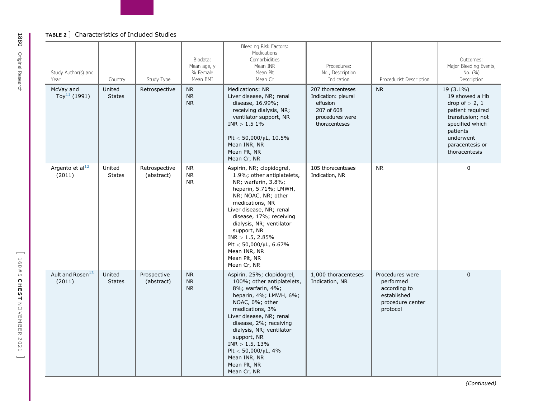#### <span id="page-5-0"></span>TABLE 2 ] Characteristics of Included Studies

| Study Author(s) and<br>Year            | Country                 | Study Type                  | Biodata:<br>Mean age, y<br>% Female<br>Mean BMI | Bleeding Risk Factors:<br>Medications<br>Comorbidities<br>Mean INR<br>Mean Plt<br>Mean Cr                                                                                                                                                                                                                                                             | Procedures:<br>No., Description<br>Indication                                                          | Procedurist Description                                                                     | Outcomes:<br>Major Bleeding Events,<br>No. (%)<br>Description                                                                                                           |
|----------------------------------------|-------------------------|-----------------------------|-------------------------------------------------|-------------------------------------------------------------------------------------------------------------------------------------------------------------------------------------------------------------------------------------------------------------------------------------------------------------------------------------------------------|--------------------------------------------------------------------------------------------------------|---------------------------------------------------------------------------------------------|-------------------------------------------------------------------------------------------------------------------------------------------------------------------------|
| McVay and<br>Toy <sup>11</sup> (1991)  | United<br><b>States</b> | Retrospective               | <b>NR</b><br><b>NR</b><br><b>NR</b>             | <b>Medications: NR</b><br>Liver disease, NR; renal<br>disease, 16.99%;<br>receiving dialysis, NR;<br>ventilator support, NR<br>INR > 1.5 1%<br>Plt < $50,000/\mu L$ , 10.5%<br>Mean INR, NR<br>Mean Plt, NR<br>Mean Cr, NR                                                                                                                            | 207 thoracenteses<br>Indication: pleural<br>effusion<br>207 of 608<br>procedures were<br>thoracenteses | <b>NR</b>                                                                                   | 19 (3.1%)<br>19 showed a Hb<br>drop of $> 2, 1$<br>patient required<br>transfusion; not<br>specified which<br>patients<br>underwent<br>paracentesis or<br>thoracentesis |
| Argento et al <sup>12</sup><br>(2011)  | United<br><b>States</b> | Retrospective<br>(abstract) | <b>NR</b><br><b>NR</b><br><b>NR</b>             | Aspirin, NR; clopidogrel,<br>1.9%; other antiplatelets,<br>NR; warfarin, 3.8%;<br>heparin, 5.71%; LMWH,<br>NR; NOAC, NR; other<br>medications, NR<br>Liver disease, NR; renal<br>disease, 17%; receiving<br>dialysis, NR; ventilator<br>support, NR<br>$INR > 1.5, 2.85\%$<br>Plt $<$ 50,000/µL, 6.67%<br>Mean INR, NR<br>Mean Plt, NR<br>Mean Cr, NR | 105 thoracenteses<br>Indication, NR                                                                    | <b>NR</b>                                                                                   | $\mathsf 0$                                                                                                                                                             |
| Ault and Rosen <sup>13</sup><br>(2011) | United<br><b>States</b> | Prospective<br>(abstract)   | <b>NR</b><br><b>NR</b><br><b>NR</b>             | Aspirin, 25%; clopidogrel,<br>100%; other antiplatelets,<br>8%; warfarin, 4%;<br>heparin, 4%; LMWH, 6%;<br>NOAC, 0%; other<br>medications, 3%<br>Liver disease, NR; renal<br>disease, 2%; receiving<br>dialysis, NR; ventilator<br>support, NR<br>$INR > 1.5, 13\%$<br>Plt $<$ 50,000/µL, 4%<br>Mean INR, NR<br>Mean Plt, NR<br>Mean Cr, NR           | 1,000 thoracenteses<br>Indication, NR                                                                  | Procedures were<br>performed<br>according to<br>established<br>procedure center<br>protocol | $\mathbf 0$                                                                                                                                                             |

 $\blacksquare$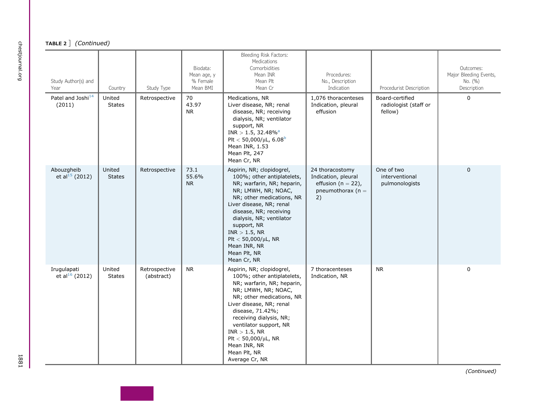## <code>TABLE 2</code>  $\,$  (Continued)

| Study Author(s) and<br>Year               | Country                 | Study Type                  | Biodata:<br>Mean age, y<br>% Female<br>Mean BMI | Bleeding Risk Factors:<br>Medications<br>Comorbidities<br>Mean INR<br>Mean Plt<br>Mean Cr                                                                                                                                                                                                                                                           | Procedures:<br>No., Description<br>Indication                                                  | Procedurist Description                             | Outcomes:<br>Major Bleeding Events,<br>No. (%)<br>Description |
|-------------------------------------------|-------------------------|-----------------------------|-------------------------------------------------|-----------------------------------------------------------------------------------------------------------------------------------------------------------------------------------------------------------------------------------------------------------------------------------------------------------------------------------------------------|------------------------------------------------------------------------------------------------|-----------------------------------------------------|---------------------------------------------------------------|
| Patel and Joshi <sup>14</sup><br>(2011)   | United<br><b>States</b> | Retrospective               | 70<br>43.97<br><b>NR</b>                        | Medications, NR<br>Liver disease, NR; renal<br>disease, NR; receiving<br>dialysis, NR; ventilator<br>support, NR<br>$INR > 1.5, 32.48\%$ <sup>a</sup><br>Plt < 50,000/ $\mu$ L, 6.08 <sup>b</sup><br>Mean INR, 1.53<br>Mean Plt, 247<br>Mean Cr, NR                                                                                                 | 1,076 thoracenteses<br>Indication, pleural<br>effusion                                         | Board-certified<br>radiologist (staff or<br>fellow) | 0                                                             |
| Abouzgheib<br>et al <sup>15</sup> (2012)  | United<br><b>States</b> | Retrospective               | 73.1<br>55.6%<br><b>NR</b>                      | Aspirin, NR; clopidogrel,<br>100%; other antiplatelets,<br>NR; warfarin, NR; heparin,<br>NR; LMWH, NR; NOAC,<br>NR; other medications, NR<br>Liver disease, NR; renal<br>disease, NR; receiving<br>dialysis, NR; ventilator<br>support, NR<br>$INR > 1.5$ , NR<br>Plt $<$ 50,000/ $\mu$ L, NR<br>Mean INR, NR<br>Mean Plt, NR<br>Mean Cr, NR        | 24 thoracostomy<br>Indication, pleural<br>effusion ( $n = 22$ ),<br>pneumothorax ( $n =$<br>2) | One of two<br>interventional<br>pulmonologists      | $\mathbf 0$                                                   |
| Irugulapati<br>et al <sup>16</sup> (2012) | United<br><b>States</b> | Retrospective<br>(abstract) | <b>NR</b>                                       | Aspirin, NR; clopidogrel,<br>100%; other antiplatelets,<br>NR; warfarin, NR; heparin,<br>NR; LMWH, NR; NOAC,<br>NR; other medications, NR<br>Liver disease, NR; renal<br>disease, 71.42%;<br>receiving dialysis, NR;<br>ventilator support, NR<br>$INR > 1.5$ , NR<br>Plt $<$ 50,000/ $\mu$ L, NR<br>Mean INR, NR<br>Mean Plt, NR<br>Average Cr, NR | 7 thoracenteses<br>Indication, NR                                                              | <b>NR</b>                                           | $\mathsf 0$                                                   |

1881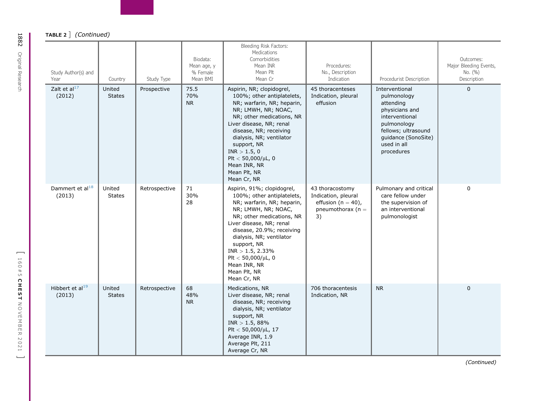TABLE 2 ] (Continued)

| Study Author(s) and<br>Year           | Country                 | Study Type    | Biodata:<br>Mean age, y<br>% Female<br>Mean BMI | Bleeding Risk Factors:<br>Medications<br>Comorbidities<br>Mean INR<br>Mean Plt<br>Mean Cr                                                                                                                                                                                                                                                     | Procedures:<br>No., Description<br>Indication                                                 | Procedurist Description                                                                                                                                                  | Outcomes:<br>Major Bleeding Events,<br>No. (%)<br>Description |
|---------------------------------------|-------------------------|---------------|-------------------------------------------------|-----------------------------------------------------------------------------------------------------------------------------------------------------------------------------------------------------------------------------------------------------------------------------------------------------------------------------------------------|-----------------------------------------------------------------------------------------------|--------------------------------------------------------------------------------------------------------------------------------------------------------------------------|---------------------------------------------------------------|
| Zalt et al <sup>17</sup><br>(2012)    | United<br><b>States</b> | Prospective   | 75.5<br>70%<br><b>NR</b>                        | Aspirin, NR; clopidogrel,<br>100%; other antiplatelets,<br>NR; warfarin, NR; heparin,<br>NR; LMWH, NR; NOAC,<br>NR; other medications, NR<br>Liver disease, NR; renal<br>disease, NR; receiving<br>dialysis, NR; ventilator<br>support, NR<br>INR > 1.5, 0<br>Plt < $50,000/\mu L$ , 0<br>Mean INR, NR<br>Mean Plt, NR<br>Mean Cr, NR         | 45 thoracenteses<br>Indication, pleural<br>effusion                                           | Interventional<br>pulmonology<br>attending<br>physicians and<br>interventional<br>pulmonology<br>fellows; ultrasound<br>quidance (SonoSite)<br>used in all<br>procedures | $\mathbf{0}$                                                  |
| Dammert et al <sup>18</sup><br>(2013) | United<br><b>States</b> | Retrospective | 71<br>30%<br>28                                 | Aspirin, 91%; clopidogrel,<br>100%; other antiplatelets,<br>NR; warfarin, NR; heparin,<br>NR; LMWH, NR; NOAC,<br>NR; other medications, NR<br>Liver disease, NR; renal<br>disease, 20.9%; receiving<br>dialysis, NR; ventilator<br>support, NR<br>INR > 1.5, 2.33%<br>Plt < $50,000/\mu L$ , 0<br>Mean INR, NR<br>Mean Plt, NR<br>Mean Cr, NR | 43 thoracostomy<br>Indication, pleural<br>effusion ( $n = 40$ ),<br>pneumothorax $(n =$<br>3) | Pulmonary and critical<br>care fellow under<br>the supervision of<br>an interventional<br>pulmonologist                                                                  | $\mathbf 0$                                                   |
| Hibbert et al <sup>19</sup><br>(2013) | United<br><b>States</b> | Retrospective | 68<br>48%<br><b>NR</b>                          | Medications, NR<br>Liver disease, NR; renal<br>disease, NR; receiving<br>dialysis, NR; ventilator<br>support, NR<br>INR > 1.5, 88%<br>Plt < $50,000/\mu L$ , 17<br>Average INR, 1.9<br>Average Plt, 211<br>Average Cr, NR                                                                                                                     | 706 thoracentesis<br>Indication, NR                                                           | <b>NR</b>                                                                                                                                                                | $\pmb{0}$                                                     |

]

 $\blacksquare$ 

(Continued)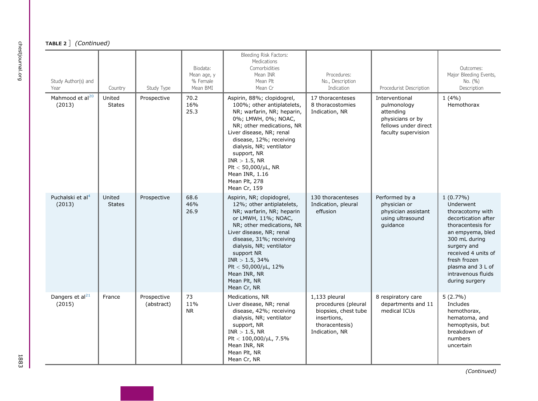## <code>TABLE 2</code>  $\,$  (Continued)

| Study Author(s) and<br>Year            | Country                 | Study Type                | Biodata:<br>Mean age, y<br>% Female<br>Mean BMI | Bleeding Risk Factors:<br>Medications<br>Comorbidities<br>Mean INR<br>Mean Plt<br>Mean Cr                                                                                                                                                                                                                                                    | Procedures:<br>No., Description<br>Indication                                                                   | Procedurist Description                                                                                       | Outcomes:<br>Major Bleeding Events,<br>No. (%)<br>Description                                                                                                                                                                                 |
|----------------------------------------|-------------------------|---------------------------|-------------------------------------------------|----------------------------------------------------------------------------------------------------------------------------------------------------------------------------------------------------------------------------------------------------------------------------------------------------------------------------------------------|-----------------------------------------------------------------------------------------------------------------|---------------------------------------------------------------------------------------------------------------|-----------------------------------------------------------------------------------------------------------------------------------------------------------------------------------------------------------------------------------------------|
| Mahmood et al <sup>20</sup><br>(2013)  | United<br><b>States</b> | Prospective               | 70.2<br>16%<br>25.3                             | Aspirin, 88%; clopidogrel,<br>100%; other antiplatelets,<br>NR; warfarin, NR; heparin,<br>0%; LMWH, 0%; NOAC,<br>NR; other medications, NR<br>Liver disease, NR; renal<br>disease, 12%; receiving<br>dialysis, NR; ventilator<br>support, NR<br>$INR > 1.5$ , NR<br>Plt $<$ 50,000/µL, NR<br>Mean INR, 1.16<br>Mean Plt, 278<br>Mean Cr, 159 | 17 thoracenteses<br>8 thoracostomies<br>Indication, NR                                                          | Interventional<br>pulmonology<br>attending<br>physicians or by<br>fellows under direct<br>faculty supervision | 1(4%)<br>Hemothorax                                                                                                                                                                                                                           |
| Puchalski et al <sup>4</sup><br>(2013) | United<br><b>States</b> | Prospective               | 68.6<br>46%<br>26.9                             | Aspirin, NR; clopidogrel,<br>12%; other antiplatelets,<br>NR; warfarin, NR; heparin<br>or LMWH, 11%; NOAC,<br>NR; other medications, NR<br>Liver disease, NR; renal<br>disease, 31%; receiving<br>dialysis, NR; ventilator<br>support NR<br>$INR > 1.5$ , 34%<br>Plt < $50,000/\mu L$ , 12%<br>Mean INR, NR<br>Mean Plt, NR<br>Mean Cr, NR   | 130 thoracenteses<br>Indication, pleural<br>effusion                                                            | Performed by a<br>physician or<br>physician assistant<br>using ultrasound<br>guidance                         | 1(0.77%)<br>Underwent<br>thoracotomy with<br>decortication after<br>thoracentesis for<br>an empyema, bled<br>300 mL during<br>surgery and<br>received 4 units of<br>fresh frozen<br>plasma and 3 L of<br>intravenous fluids<br>during surgery |
| Dangers et al <sup>21</sup><br>(2015)  | France                  | Prospective<br>(abstract) | 73<br>11%<br><b>NR</b>                          | Medications, NR<br>Liver disease, NR; renal<br>disease, 42%; receiving<br>dialysis, NR; ventilator<br>support, NR<br>$INR > 1.5$ , NR<br>Plt < $100,000/\mu L$ , 7.5%<br>Mean INR, NR<br>Mean Plt, NR<br>Mean Cr, NR                                                                                                                         | 1,133 pleural<br>procedures (pleural<br>biopsies, chest tube<br>insertions,<br>thoracentesis)<br>Indication, NR | 8 respiratory care<br>departments and 11<br>medical ICUs                                                      | $5(2.7\%)$<br>Includes<br>hemothorax,<br>hematoma, and<br>hemoptysis, but<br>breakdown of<br>numbers<br>uncertain                                                                                                                             |

1883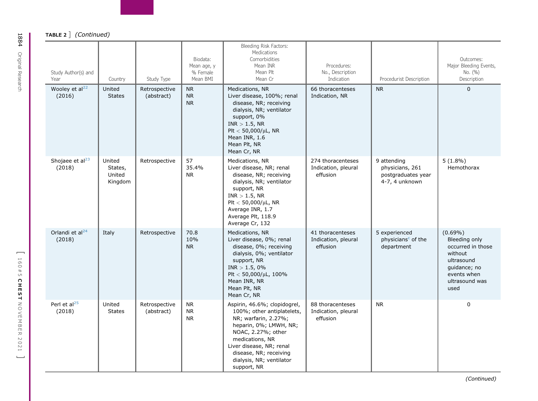| - 1                                   |                                        |                             |                                                 |                                                                                                                                                                                                                                                        |                                                      |                                                                        |                                                                                                                                    |
|---------------------------------------|----------------------------------------|-----------------------------|-------------------------------------------------|--------------------------------------------------------------------------------------------------------------------------------------------------------------------------------------------------------------------------------------------------------|------------------------------------------------------|------------------------------------------------------------------------|------------------------------------------------------------------------------------------------------------------------------------|
| Study Author(s) and<br>Year           | Country                                | Study Type                  | Biodata:<br>Mean age, y<br>% Female<br>Mean BMI | Bleeding Risk Factors:<br>Medications<br>Comorbidities<br>Mean INR<br>Mean Plt<br>Mean Cr                                                                                                                                                              | Procedures:<br>No., Description<br>Indication        | Procedurist Description                                                | Outcomes:<br>Major Bleeding Events,<br>No. $(% )$<br>Description                                                                   |
| Wooley et al <sup>22</sup><br>(2016)  | United<br><b>States</b>                | Retrospective<br>(abstract) | <b>NR</b><br><b>NR</b><br><b>NR</b>             | Medications, NR<br>Liver disease, 100%; renal<br>disease, NR; receiving<br>dialysis, NR; ventilator<br>support, 0%<br>$INR > 1.5$ , NR<br>Plt $<$ 50,000/µL, NR<br>Mean INR, 1.6<br>Mean Plt, NR<br>Mean Cr, NR                                        | 66 thoracenteses<br>Indication, NR                   | <b>NR</b>                                                              | $\mathbf{0}$                                                                                                                       |
| Shojaee et al <sup>23</sup><br>(2018) | United<br>States,<br>United<br>Kingdom | Retrospective               | 57<br>35.4%<br><b>NR</b>                        | Medications, NR<br>Liver disease, NR; renal<br>disease, NR; receiving<br>dialysis, NR; ventilator<br>support, NR<br>$INR > 1.5$ , NR<br>Plt $<$ 50,000/ $\mu$ L, NR<br>Average INR, 1.7<br>Average Plt, 118.9<br>Average Cr, 132                       | 274 thoracenteses<br>Indication, pleural<br>effusion | 9 attending<br>physicians, 261<br>postgraduates year<br>4-7, 4 unknown | $5(1.8\%)$<br>Hemothorax                                                                                                           |
| Orlandi et al <sup>24</sup><br>(2018) | Italy                                  | Retrospective               | 70.8<br>10%<br><b>NR</b>                        | Medications, NR<br>Liver disease, 0%; renal<br>disease, 0%; receiving<br>dialysis, 0%; ventilator<br>support, NR<br>INR > 1.5,0%<br>Plt $<$ 50,000/µL, 100%<br>Mean INR, NR<br>Mean Plt, NR<br>Mean Cr, NR                                             | 41 thoracenteses<br>Indication, pleural<br>effusion  | 5 experienced<br>physicians <sup>c</sup> of the<br>department          | $(0.69\%)$<br>Bleeding only<br>occurred in those<br>without<br>ultrasound<br>guidance; no<br>events when<br>ultrasound was<br>used |
| Perl et al <sup>25</sup><br>(2018)    | United<br><b>States</b>                | Retrospective<br>(abstract) | <b>NR</b><br><b>NR</b><br><b>NR</b>             | Aspirin, 46.6%; clopidogrel,<br>100%; other antiplatelets,<br>NR; warfarin, 2.27%;<br>heparin, 0%; LMWH, NR;<br>NOAC, 2.27%; other<br>medications, NR<br>Liver disease, NR; renal<br>disease, NR; receiving<br>dialysis, NR; ventilator<br>support, NR | 88 thoracenteses<br>Indication, pleural<br>effusion  | <b>NR</b>                                                              | 0                                                                                                                                  |

 $\blacksquare$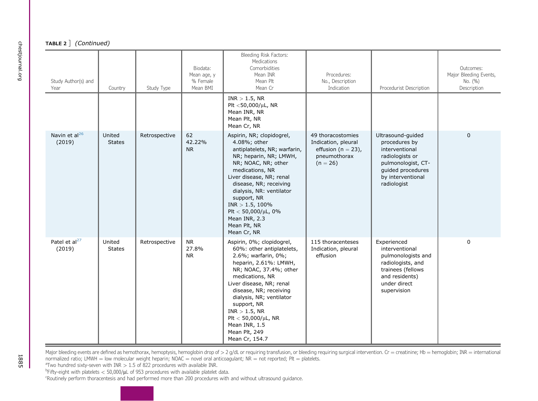#### <code>TABLE 2</code>  $\,$  (Continued)

| Study Author(s) and<br>Year         | Country                 | Study Type    | Biodata:<br>Mean age, y<br>% Female<br>Mean BMI | Bleeding Risk Factors:<br>Medications<br>Comorbidities<br>Mean INR<br>Mean Plt<br>Mean Cr                                                                                                                                                                                                                                                                   | Procedures:<br>No., Description<br>Indication                                                    | Procedurist Description                                                                                                                                | Outcomes:<br>Major Bleeding Events,<br>No. (%)<br>Description |
|-------------------------------------|-------------------------|---------------|-------------------------------------------------|-------------------------------------------------------------------------------------------------------------------------------------------------------------------------------------------------------------------------------------------------------------------------------------------------------------------------------------------------------------|--------------------------------------------------------------------------------------------------|--------------------------------------------------------------------------------------------------------------------------------------------------------|---------------------------------------------------------------|
|                                     |                         |               |                                                 | $INR > 1.5$ , NR<br>Plt $<$ 50,000/ $\mu$ L, NR<br>Mean INR, NR<br>Mean Plt, NR<br>Mean Cr, NR                                                                                                                                                                                                                                                              |                                                                                                  |                                                                                                                                                        |                                                               |
| Navin et al $^{26}$<br>(2019)       | United<br><b>States</b> | Retrospective | 62<br>42.22%<br><b>NR</b>                       | Aspirin, NR; clopidogrel,<br>4.08%; other<br>antiplatelets, NR; warfarin,<br>NR; heparin, NR; LMWH,<br>NR; NOAC, NR; other<br>medications, NR<br>Liver disease, NR; renal<br>disease, NR; receiving<br>dialysis, NR: ventilator<br>support, NR<br>$INR > 1.5, 100\%$<br>Plt $<$ 50,000/ $\mu$ L, 0%<br>Mean INR, 2.3<br>Mean Plt, NR<br>Mean Cr, NR         | 49 thoracostomies<br>Indication, pleural<br>effusion ( $n = 23$ ),<br>pneumothorax<br>$(n = 26)$ | Ultrasound-guided<br>procedures by<br>interventional<br>radiologists or<br>pulmonologist, CT-<br>guided procedures<br>by interventional<br>radiologist | $\mathbf 0$                                                   |
| Patel et al <sup>27</sup><br>(2019) | United<br><b>States</b> | Retrospective | <b>NR</b><br>27.8%<br><b>NR</b>                 | Aspirin, 0%; clopidogrel,<br>60%: other antiplatelets,<br>2.6%; warfarin, 0%;<br>heparin, 2.61%: LMWH,<br>NR; NOAC, 37.4%; other<br>medications, NR<br>Liver disease, NR; renal<br>disease, NR; receiving<br>dialysis, NR; ventilator<br>support, NR<br>$INR > 1.5$ , NR<br>Plt $<$ 50,000/ $\mu$ L, NR<br>Mean INR, 1.5<br>Mean Plt, 249<br>Mean Cr, 154.7 | 115 thoracenteses<br>Indication, pleural<br>effusion                                             | Experienced<br>interventional<br>pulmonologists and<br>radiologists, and<br>trainees (fellows<br>and residents)<br>under direct<br>supervision         | 0                                                             |

Major bleeding events are defined as hemothorax, hemoptysis, hemoglobin drop of > 2 g/dL or requiring transfusion, or bleeding requiring surgical intervention. Cr = creatinine; Hb = hemoglobin; INR = international normalized ratio; LMWH = low molecular weight heparin; NOAC = novel oral anticoagulant; NR = not reported; Plt = platelets.

 $^{\circ}$ Two hundred sixty-seven with INR  $> 1.5$  of 822 procedures with available INR.

 $^{\text{b}}$ Fifty-eight with platelets  $< 50,000/\mu$ L of 953 procedures with available platelet data.

<span id="page-10-2"></span><span id="page-10-1"></span><span id="page-10-0"></span>cally bigger than perform thoracentesis and had performed more than 200 procedures with and without ultrasound guidance.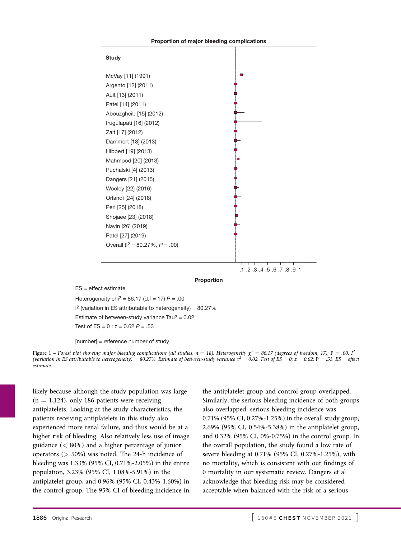<span id="page-11-0"></span>

ES = effect estimate Heterogeneity chi2 = 86.17 (d.f = 17) *P* = .00  $I<sup>2</sup>$  (variation in ES attributable to heterogeneity) = 80.27% Estimate of between-study variance  $Tau^2 = 0.02$ Test of ES = 0 : z = 0.62 *P* = .53

[number] = reference number of study

Figure 1 – Forest plot showing major bleeding complications (all studies,  $n = 18$ ). Heterogeneity  $\chi^2 = 86.17$  (degrees of freedom, 17); P = .00. I<sup>2</sup> (variation in ES attributable to heterogeneity) = 80.27%. Estimate of between-study variance  $\tau^2 = 0.02$ . Test of  $ES = 0$ ;  $z = 0.62$ ; P = .53. ES = effect estimate.

likely because although the study population was large  $(n = 1,124)$ , only 186 patients were receiving antiplatelets. Looking at the study characteristics, the patients receiving antiplatelets in this study also experienced more renal failure, and thus would be at a higher risk of bleeding. Also relatively less use of image guidance  $(< 80\%)$  and a higher percentage of junior operators (> 50%) was noted. The 24-h incidence of bleeding was 1.33% (95% CI, 0.71%-2.05%) in the entire population, 3.23% (95% CI, 1.08%-5.91%) in the antiplatelet group, and 0.96% (95% CI, 0.43%-1.60%) in the control group. The 95% CI of bleeding incidence in

the antiplatelet group and control group overlapped. Similarly, the serious bleeding incidence of both groups also overlapped: serious bleeding incidence was 0.71% (95% CI, 0.27%-1.25%) in the overall study group, 2.69% (95% CI, 0.54%-5.38%) in the antiplatelet group, and 0.32% (95% CI, 0%-0.75%) in the control group. In the overall population, the study found a low rate of severe bleeding at 0.71% (95% CI, 0.27%-1.25%), with no mortality, which is consistent with our findings of 0 mortality in our systematic review. Dangers et al acknowledge that bleeding risk may be considered acceptable when balanced with the risk of a serious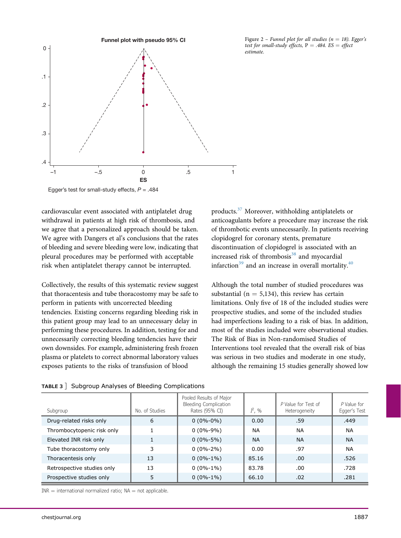<span id="page-12-0"></span>

Figure 2 – Funnel plot for all studies ( $n = 18$ ). Egger's test for small-study effects,  $P = .484$ .  $ES = effect$ estimate.

Egger's test for small-study effects, *P* = .484

cardiovascular event associated with antiplatelet drug withdrawal in patients at high risk of thrombosis, and we agree that a personalized approach should be taken. We agree with Dangers et al's conclusions that the rates of bleeding and severe bleeding were low, indicating that pleural procedures may be performed with acceptable risk when antiplatelet therapy cannot be interrupted.

Collectively, the results of this systematic review suggest that thoracentesis and tube thoracostomy may be safe to perform in patients with uncorrected bleeding tendencies. Existing concerns regarding bleeding risk in this patient group may lead to an unnecessary delay in performing these procedures. In addition, testing for and unnecessarily correcting bleeding tendencies have their own downsides. For example, administering fresh frozen plasma or platelets to correct abnormal laboratory values exposes patients to the risks of transfusion of blood

products[.37](#page-14-21) Moreover, withholding antiplatelets or anticoagulants before a procedure may increase the risk of thrombotic events unnecessarily. In patients receiving clopidogrel for coronary stents, premature discontinuation of clopidogrel is associated with an increased risk of thrombosis $38$  and myocardial infarction<sup>[39](#page-14-23)</sup> and an increase in overall mortality.<sup>[40](#page-14-24)</sup>

Although the total number of studied procedures was substantial ( $n = 5,134$ ), this review has certain limitations. Only five of 18 of the included studies were prospective studies, and some of the included studies had imperfections leading to a risk of bias. In addition, most of the studies included were observational studies. The Risk of Bias in Non-randomised Studies of Interventions tool revealed that the overall risk of bias was serious in two studies and moderate in one study, although the remaining 15 studies generally showed low

<span id="page-12-1"></span>

| TABLE 3   Subgroup Analyses of Bleeding Complications |  |  |
|-------------------------------------------------------|--|--|
|                                                       |  |  |

| Subgroup                   | No. of Studies | Pooled Results of Major<br>Bleeding Complication<br>Rates (95% CI) | $I^2$ , % | P Value for Test of<br>Heterogeneity | P Value for<br>Egger's Test |
|----------------------------|----------------|--------------------------------------------------------------------|-----------|--------------------------------------|-----------------------------|
| Drug-related risks only    | 6              | $0(0\% - 0\%)$                                                     | 0.00      | .59                                  | .449                        |
| Thrombocytopenic risk only |                | $0(0\% - 9\%)$                                                     | <b>NA</b> | <b>NA</b>                            | <b>NA</b>                   |
| Elevated INR risk only     |                | $0(0\% - 5\%)$                                                     | <b>NA</b> | <b>NA</b>                            | <b>NA</b>                   |
| Tube thoracostomy only     | 3              | $0(0\% - 2\%)$                                                     | 0.00      | .97                                  | <b>NA</b>                   |
| Thoracentesis only         | 13             | $0(0\% - 1\%)$                                                     | 85.16     | .00.                                 | .526                        |
| Retrospective studies only | 13             | $0(0\% - 1\%)$                                                     | 83.78     | .00                                  | .728                        |
| Prospective studies only   | 5              | $0(0\% - 1\%)$                                                     | 66.10     | .02                                  | .281                        |

 $INR =$  international normalized ratio;  $NA =$  not applicable.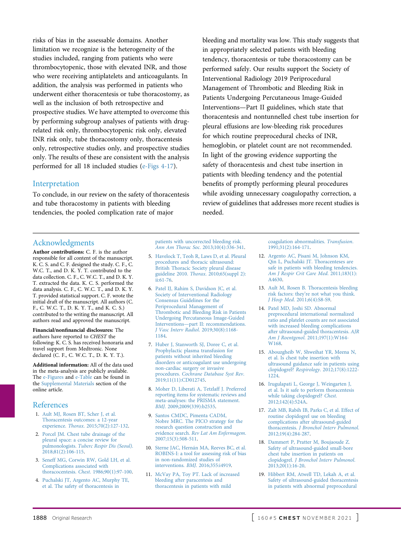<span id="page-13-20"></span>risks of bias in the assessable domains. Another limitation we recognize is the heterogeneity of the studies included, ranging from patients who were thrombocytopenic, those with elevated INR, and those who were receiving antiplatelets and anticoagulants. In addition, the analysis was performed in patients who underwent either thoracentesis or tube thoracostomy, as well as the inclusion of both retrospective and prospective studies. We have attempted to overcome this by performing subgroup analyses of patients with drugrelated risk only, thrombocytopenic risk only, elevated INR risk only, tube thoracostomy only, thoracentesis only, retrospective studies only, and prospective studies only. The results of these are consistent with the analysis performed for all 18 included studies [\(e-Figs 4-17](#page-14-0)).

# <span id="page-13-11"></span>Interpretation

To conclude, in our review on the safety of thoracentesis and tube thoracostomy in patients with bleeding tendencies, the pooled complication rate of major

bleeding and mortality was low. This study suggests that in appropriately selected patients with bleeding tendency, thoracentesis or tube thoracostomy can be performed safely. Our results support the Society of Interventional Radiology 2019 Periprocedural Management of Thrombotic and Bleeding Risk in Patients Undergoing Percutaneous Image-Guided Interventions—Part II guidelines, which state that thoracentesis and nontunnelled chest tube insertion for pleural effusions are low-bleeding risk procedures for which routine preprocedural checks of INR, hemoglobin, or platelet count are not recommended. In light of the growing evidence supporting the safety of thoracentesis and chest tube insertion in patients with bleeding tendency and the potential benefits of promptly performing pleural procedures while avoiding unnecessary coagulopathy correction, a review of guidelines that addresses more recent studies is needed.

# Acknowledgments

<span id="page-13-19"></span>Author contributions: C. F. is the author responsible for all content of the manuscript. K. C. S. and C. F. designed the study. C. F., C. W.C. T., and D. K. Y. T. contributed to the data collection. C. F., C. W.C. T., and D. K. Y. T. extracted the data. K. C. S. performed the data analysis. C. F., C. W.C. T., and D. K. Y. T. provided statistical support. C. F. wrote the initial draft of the manuscript. All authors (C. F., C. W.C. T., D. K. Y. T., and K. C. S.) contributed to the writing the manuscript. All authors read and approved the manuscript.

Financial/nonfinancial disclosures: The authors have reported to CHEST the following: K. C. S. has received honoraria and travel support from Medtronic. None declared (C. F., C. W.C. T., D. K. Y. T.).

Additional information: All of the data used in the meta-analysis are publicly available. The [e-Figures](#page-14-0) and [e-Table](#page-14-0) can be found in the [Supplemental Materials](#page-14-0) section of the online article.

# References

- <span id="page-13-0"></span>1. [Ault MJ, Rosen BT, Scher J, et al.](http://refhub.elsevier.com/S0012-3692(21)00761-3/sref1) [Thoracentesis outcomes: a 12-year](http://refhub.elsevier.com/S0012-3692(21)00761-3/sref1) experience. Thorax[. 2015;70\(2\):127-132.](http://refhub.elsevier.com/S0012-3692(21)00761-3/sref1)
- <span id="page-13-1"></span>2. [Porcel JM. Chest tube drainage of the](http://refhub.elsevier.com/S0012-3692(21)00761-3/sref2) [pleural space: a concise review for](http://refhub.elsevier.com/S0012-3692(21)00761-3/sref2) pulmonologists. [Tuberc Respir Dis \(Seoul\)](http://refhub.elsevier.com/S0012-3692(21)00761-3/sref2). [2018;81\(2\):106-115](http://refhub.elsevier.com/S0012-3692(21)00761-3/sref2).
- <span id="page-13-2"></span>3. [Seneff MG, Corwin RW, Gold LH, et al.](http://refhub.elsevier.com/S0012-3692(21)00761-3/sref3) [Complications associated with](http://refhub.elsevier.com/S0012-3692(21)00761-3/sref3) thoracocentesis. Chest[. 1986;90\(1\):97-100](http://refhub.elsevier.com/S0012-3692(21)00761-3/sref3).
- <span id="page-13-3"></span>4. [Puchalski JT, Argento AC, Murphy TE,](http://refhub.elsevier.com/S0012-3692(21)00761-3/sref4) [et al. The safety of thoracentesis in](http://refhub.elsevier.com/S0012-3692(21)00761-3/sref4)

<span id="page-13-15"></span>[patients with uncorrected bleeding risk.](http://refhub.elsevier.com/S0012-3692(21)00761-3/sref4) Ann Am Thorac Soc[. 2013;10\(4\):336-341.](http://refhub.elsevier.com/S0012-3692(21)00761-3/sref4)

- <span id="page-13-18"></span><span id="page-13-17"></span><span id="page-13-16"></span><span id="page-13-4"></span>5. [Havelock T, Teoh R, Laws D, et al. Pleural](http://refhub.elsevier.com/S0012-3692(21)00761-3/sref5) [procedures and thoracic ultrasound:](http://refhub.elsevier.com/S0012-3692(21)00761-3/sref5) [British Thoracic Society pleural disease](http://refhub.elsevier.com/S0012-3692(21)00761-3/sref5) guideline 2010. Thorax[. 2010;65\(suppl 2\):](http://refhub.elsevier.com/S0012-3692(21)00761-3/sref5) [ii:61-76](http://refhub.elsevier.com/S0012-3692(21)00761-3/sref5).
- <span id="page-13-5"></span>6. [Patel IJ, Rahim S, Davidson JC, et al.](http://refhub.elsevier.com/S0012-3692(21)00761-3/sref6) [Society of Interventional Radiology](http://refhub.elsevier.com/S0012-3692(21)00761-3/sref6) [Consensus Guidelines for the](http://refhub.elsevier.com/S0012-3692(21)00761-3/sref6) [Periprocedural Management of](http://refhub.elsevier.com/S0012-3692(21)00761-3/sref6) [Thrombotic and Bleeding Risk in Patients](http://refhub.elsevier.com/S0012-3692(21)00761-3/sref6) [Undergoing Percutaneous Image-Guided](http://refhub.elsevier.com/S0012-3692(21)00761-3/sref6) Interventions—[part II: recommendations.](http://refhub.elsevier.com/S0012-3692(21)00761-3/sref6) [J Vasc Interv Radiol](http://refhub.elsevier.com/S0012-3692(21)00761-3/sref6). 2019;30(8):1168- [1184.](http://refhub.elsevier.com/S0012-3692(21)00761-3/sref6)
- <span id="page-13-6"></span>7. [Huber J, Stanworth SJ, Doree C, et al.](http://refhub.elsevier.com/S0012-3692(21)00761-3/sref7) [Prophylactic plasma transfusion for](http://refhub.elsevier.com/S0012-3692(21)00761-3/sref7) [patients without inherited bleeding](http://refhub.elsevier.com/S0012-3692(21)00761-3/sref7) [disorders or anticoagulant use undergoing](http://refhub.elsevier.com/S0012-3692(21)00761-3/sref7) [non-cardiac surgery or invasive](http://refhub.elsevier.com/S0012-3692(21)00761-3/sref7) procedures. [Cochrane Database Syst Rev](http://refhub.elsevier.com/S0012-3692(21)00761-3/sref7). [2019;11\(11\):CD012745](http://refhub.elsevier.com/S0012-3692(21)00761-3/sref7).
- <span id="page-13-7"></span>8. [Moher D, Liberati A, Tetzlaff J. Preferred](http://refhub.elsevier.com/S0012-3692(21)00761-3/sref8) [reporting items for systematic reviews and](http://refhub.elsevier.com/S0012-3692(21)00761-3/sref8) [meta-analyses: the PRISMA statement.](http://refhub.elsevier.com/S0012-3692(21)00761-3/sref8) BMJ[. 2009;2009\(339\):b2535](http://refhub.elsevier.com/S0012-3692(21)00761-3/sref8).
- <span id="page-13-8"></span>9. [Santos CMDC, Pimenta CADM,](http://refhub.elsevier.com/S0012-3692(21)00761-3/sref9) [Nobre MRC. The PICO strategy for the](http://refhub.elsevier.com/S0012-3692(21)00761-3/sref9) [research question construction and](http://refhub.elsevier.com/S0012-3692(21)00761-3/sref9) evidence search. [Rev Lat Am Enfermagem](http://refhub.elsevier.com/S0012-3692(21)00761-3/sref9). [2007;15\(3\):508-511.](http://refhub.elsevier.com/S0012-3692(21)00761-3/sref9)
- <span id="page-13-9"></span>10. [Sterne JAC, Hernán MA, Reeves BC, et al.](http://refhub.elsevier.com/S0012-3692(21)00761-3/sref10) [ROBINS-I: a tool for assessing risk of bias](http://refhub.elsevier.com/S0012-3692(21)00761-3/sref10) [in non-randomized studies of](http://refhub.elsevier.com/S0012-3692(21)00761-3/sref10) interventions. BMJ[. 2016;355:i4919.](http://refhub.elsevier.com/S0012-3692(21)00761-3/sref10)
- <span id="page-13-10"></span>11. [McVay PA, Toy PT. Lack of increased](http://refhub.elsevier.com/S0012-3692(21)00761-3/sref11) [bleeding after paracentesis and](http://refhub.elsevier.com/S0012-3692(21)00761-3/sref11) [thoracentesis in patients with mild](http://refhub.elsevier.com/S0012-3692(21)00761-3/sref11)

<span id="page-13-12"></span>[coagulation abnormalities.](http://refhub.elsevier.com/S0012-3692(21)00761-3/sref11) Transfusion. [1991;31\(2\):164-171.](http://refhub.elsevier.com/S0012-3692(21)00761-3/sref11)

- <span id="page-13-14"></span><span id="page-13-13"></span>12. [Argento AC, Pisani M, Johnson KM,](http://refhub.elsevier.com/S0012-3692(21)00761-3/sref12) [Qin L, Puchalski JT. Thoracenteses are](http://refhub.elsevier.com/S0012-3692(21)00761-3/sref12) [safe in patients with bleeding tendencies.](http://refhub.elsevier.com/S0012-3692(21)00761-3/sref12) [Am J Respir Crit Care Med](http://refhub.elsevier.com/S0012-3692(21)00761-3/sref12). 2011;183(1): [A4630](http://refhub.elsevier.com/S0012-3692(21)00761-3/sref12).
- 13. [Ault M, Rosen B. Thoracentesis bleeding](http://refhub.elsevier.com/S0012-3692(21)00761-3/sref13) risk factors: they'[re not what you think.](http://refhub.elsevier.com/S0012-3692(21)00761-3/sref13) J Hosp Med[. 2011;6\(4\):S8-S9.](http://refhub.elsevier.com/S0012-3692(21)00761-3/sref13)
- 14. [Patel MD, Joshi SD. Abnormal](http://refhub.elsevier.com/S0012-3692(21)00761-3/sref14) [preprocedural international normalized](http://refhub.elsevier.com/S0012-3692(21)00761-3/sref14) [ratio and platelet counts are not associated](http://refhub.elsevier.com/S0012-3692(21)00761-3/sref14) [with increased bleeding complications](http://refhub.elsevier.com/S0012-3692(21)00761-3/sref14) [after ultrasound-guided thoracentesis.](http://refhub.elsevier.com/S0012-3692(21)00761-3/sref14) AJR Am J Roentgenol[. 2011;197\(1\):W164-](http://refhub.elsevier.com/S0012-3692(21)00761-3/sref14) [W168.](http://refhub.elsevier.com/S0012-3692(21)00761-3/sref14)
- 15. [Abouzgheib W, Shweihat YR, Meena N,](http://refhub.elsevier.com/S0012-3692(21)00761-3/sref15) [et al. Is chest tube insertion with](http://refhub.elsevier.com/S0012-3692(21)00761-3/sref15) [ultrasound guidance safe in patients using](http://refhub.elsevier.com/S0012-3692(21)00761-3/sref15) clopidogrel? Respirology[. 2012;17\(8\):1222-](http://refhub.elsevier.com/S0012-3692(21)00761-3/sref15) [1224](http://refhub.elsevier.com/S0012-3692(21)00761-3/sref15).
- 16. [Irugulapati L, George J, Weingarten J,](http://refhub.elsevier.com/S0012-3692(21)00761-3/sref16) [et al. Is it safe to perform thoracentesis](http://refhub.elsevier.com/S0012-3692(21)00761-3/sref16) [while taking clopidogrel?](http://refhub.elsevier.com/S0012-3692(21)00761-3/sref16) Chest. [2012;142\(4\):524A](http://refhub.elsevier.com/S0012-3692(21)00761-3/sref16).
- <span id="page-13-22"></span>17. [Zalt MB, Rabih IB, Parks C, et al. Effect of](http://refhub.elsevier.com/S0012-3692(21)00761-3/sref17) [routine clopidogrel use on bleeding](http://refhub.elsevier.com/S0012-3692(21)00761-3/sref17) [complications after ultrasound-guided](http://refhub.elsevier.com/S0012-3692(21)00761-3/sref17) thoracentesis. [J Bronchol Interv Pulmonol](http://refhub.elsevier.com/S0012-3692(21)00761-3/sref17). [2012;19\(4\):284-287.](http://refhub.elsevier.com/S0012-3692(21)00761-3/sref17)
- 18. [Dammert P, Pratter M, Boujaoude Z.](http://refhub.elsevier.com/S0012-3692(21)00761-3/sref18) [Safety of ultrasound-guided small-bore](http://refhub.elsevier.com/S0012-3692(21)00761-3/sref18) [chest tube insertion in patients on](http://refhub.elsevier.com/S0012-3692(21)00761-3/sref18) clopidogrel. [J Bronchol Interv Pulmonol](http://refhub.elsevier.com/S0012-3692(21)00761-3/sref18). [2013;20\(1\):16-20](http://refhub.elsevier.com/S0012-3692(21)00761-3/sref18).
- <span id="page-13-21"></span>19. [Hibbert RM, Atwell TD, Lekah A, et al.](http://refhub.elsevier.com/S0012-3692(21)00761-3/sref19) [Safety of ultrasound-guided thoracentesis](http://refhub.elsevier.com/S0012-3692(21)00761-3/sref19) [in patients with abnormal preprocedural](http://refhub.elsevier.com/S0012-3692(21)00761-3/sref19)